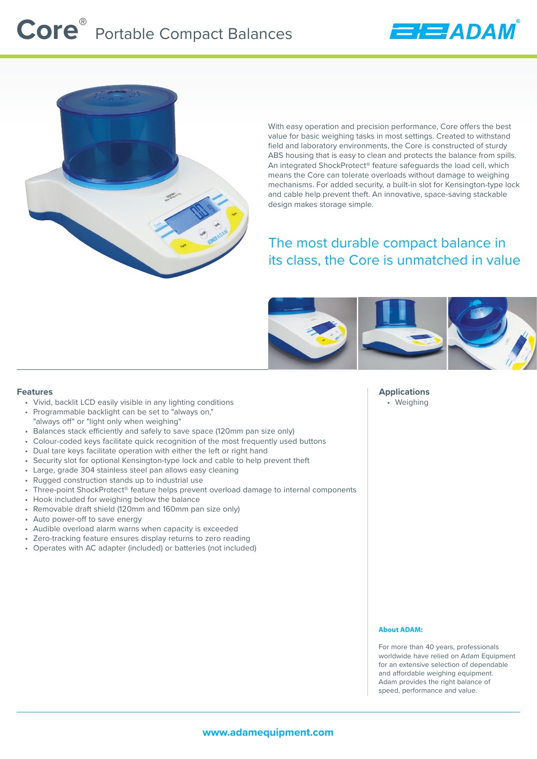

With easy operation and precision performance, Core offers the best value for basic weighing tasks in most settings. Created to withstand field and laboratory environments, the Core is constructed of sturdy ABS housing that is easy to clean and protects the balance from spills. An integrated ShockProtect® feature safeguards the load cell, which means the Core can tolerate overloads without damage to weighing mechanisms. For added security, a built-in slot for Kensington-type lock and cable help prevent theft. An innovative, space-saving stackable design makes storage simple.

**EHEE ADAN** 

# The most durable compact balance in its class, the Core is unmatched in value



#### **Features**

- Vivid, backlit LCD easily visible in any lighting conditions
- Programmable backlight can be set to "always on," "always off" or "light only when weighing"
- Balances stack efficiently and safely to save space (120mm pan size only)
- Colour-coded keys facilitate quick recognition of the most frequently used buttons
- Dual tare keys facilitate operation with either the left or right hand
- Security slot for optional Kensington-type lock and cable to help prevent theft
- Large, grade 304 stainless steel pan allows easy cleaning
- Rugged construction stands up to industrial use
- Three-point ShockProtect® feature helps prevent overload damage to internal components
- Hook included for weighing below the balance
- Removable draft shield (120mm and 160mm pan size only)
- Auto power-off to save energy
- Audible overload alarm warns when capacity is exceeded
- Zero-tracking feature ensures display returns to zero reading
- Operates with AC adapter (included) or batteries (not included)

**Applications** • Weighing

#### **About ADAM:**

For more than 40 years, professionals worldwide have relied on Adam Equipment for an extensive selection of dependable and affordable weighing equipment. Adam provides the right balance of speed, performance and value.